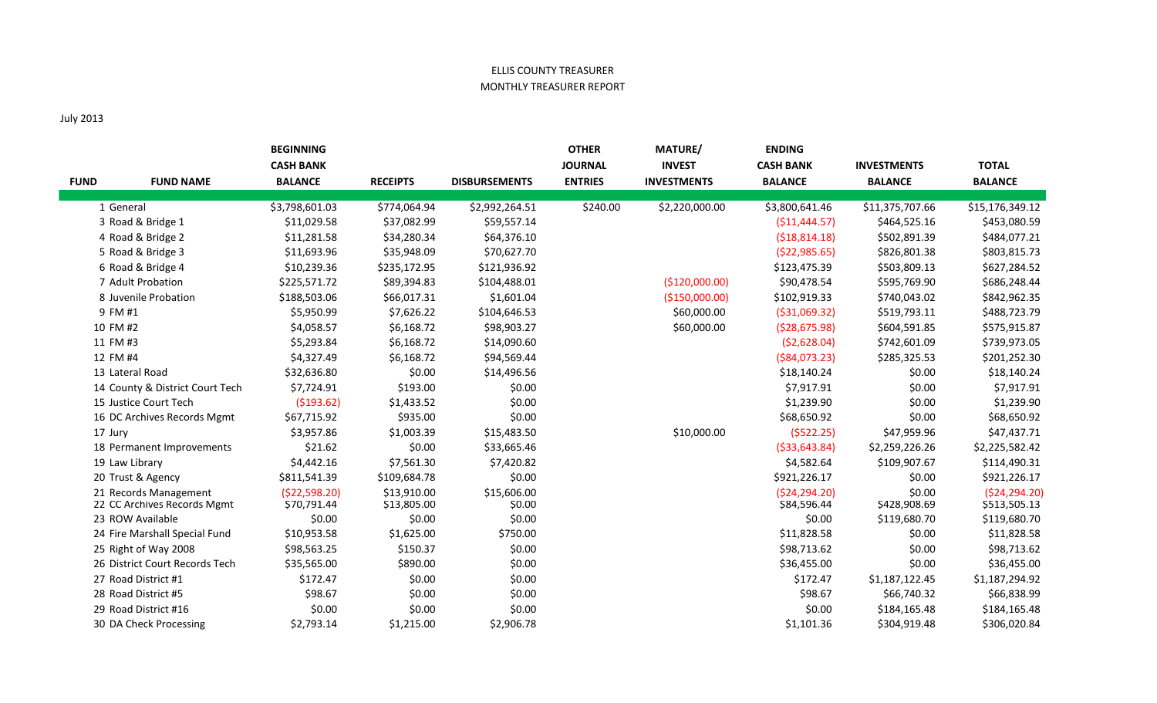## ELLIS COUNTY TREASURER MONTHLY TREASURER REPORT

## July 2013

|             |                                 | <b>BEGINNING</b> |                 |                      | <b>OTHER</b>   | <b>MATURE/</b>     | <b>ENDING</b>    |                    |                 |
|-------------|---------------------------------|------------------|-----------------|----------------------|----------------|--------------------|------------------|--------------------|-----------------|
|             |                                 | <b>CASH BANK</b> |                 |                      | <b>JOURNAL</b> | <b>INVEST</b>      | <b>CASH BANK</b> | <b>INVESTMENTS</b> | <b>TOTAL</b>    |
| <b>FUND</b> | <b>FUND NAME</b>                | <b>BALANCE</b>   | <b>RECEIPTS</b> | <b>DISBURSEMENTS</b> | <b>ENTRIES</b> | <b>INVESTMENTS</b> | <b>BALANCE</b>   | <b>BALANCE</b>     | <b>BALANCE</b>  |
|             | 1 General                       | \$3,798,601.03   | \$774,064.94    | \$2,992,264.51       | \$240.00       | \$2,220,000.00     | \$3,800,641.46   | \$11,375,707.66    | \$15,176,349.12 |
|             | 3 Road & Bridge 1               | \$11,029.58      | \$37,082.99     | \$59,557.14          |                |                    | ( \$11,444.57)   | \$464,525.16       | \$453,080.59    |
|             | 4 Road & Bridge 2               | \$11,281.58      | \$34,280.34     | \$64,376.10          |                |                    | ( \$18, 814.18)  | \$502,891.39       | \$484,077.21    |
|             | 5 Road & Bridge 3               | \$11,693.96      | \$35,948.09     | \$70,627.70          |                |                    | ( \$22, 985.65)  | \$826,801.38       | \$803,815.73    |
|             | 6 Road & Bridge 4               | \$10,239.36      | \$235,172.95    | \$121,936.92         |                |                    | \$123,475.39     | \$503,809.13       | \$627,284.52    |
|             | 7 Adult Probation               | \$225,571.72     | \$89,394.83     | \$104,488.01         |                | (\$120,000.00)     | \$90,478.54      | \$595,769.90       | \$686,248.44    |
|             | 8 Juvenile Probation            | \$188,503.06     | \$66,017.31     | \$1,601.04           |                | (\$150,000.00)     | \$102,919.33     | \$740,043.02       | \$842,962.35    |
|             | 9 FM #1                         | \$5,950.99       | \$7,626.22      | \$104,646.53         |                | \$60,000.00        | ( \$31,069.32)   | \$519,793.11       | \$488,723.79    |
|             | 10 FM #2                        | \$4,058.57       | \$6,168.72      | \$98,903.27          |                | \$60,000.00        | ( \$28,675.98)   | \$604,591.85       | \$575,915.87    |
|             | 11 FM #3                        | \$5,293.84       | \$6,168.72      | \$14,090.60          |                |                    | (52,628.04)      | \$742,601.09       | \$739,973.05    |
|             | 12 FM #4                        | \$4,327.49       | \$6,168.72      | \$94,569.44          |                |                    | ( \$84,073.23)   | \$285,325.53       | \$201,252.30    |
|             | 13 Lateral Road                 | \$32,636.80      | \$0.00          | \$14,496.56          |                |                    | \$18,140.24      | \$0.00             | \$18,140.24     |
|             | 14 County & District Court Tech | \$7,724.91       | \$193.00        | \$0.00               |                |                    | \$7,917.91       | \$0.00             | \$7,917.91      |
|             | 15 Justice Court Tech           | ( \$193.62)      | \$1,433.52      | \$0.00               |                |                    | \$1,239.90       | \$0.00             | \$1,239.90      |
|             | 16 DC Archives Records Mgmt     | \$67,715.92      | \$935.00        | \$0.00               |                |                    | \$68,650.92      | \$0.00             | \$68,650.92     |
|             | 17 Jury                         | \$3,957.86       | \$1,003.39      | \$15,483.50          |                | \$10,000.00        | (5522.25)        | \$47,959.96        | \$47,437.71     |
|             | 18 Permanent Improvements       | \$21.62          | \$0.00          | \$33,665.46          |                |                    | ( \$33, 643.84)  | \$2,259,226.26     | \$2,225,582.42  |
|             | 19 Law Library                  | \$4,442.16       | \$7,561.30      | \$7,420.82           |                |                    | \$4,582.64       | \$109,907.67       | \$114,490.31    |
|             | 20 Trust & Agency               | \$811,541.39     | \$109,684.78    | \$0.00               |                |                    | \$921,226.17     | \$0.00             | \$921,226.17    |
|             | 21 Records Management           | (\$22,598.20)    | \$13,910.00     | \$15,606.00          |                |                    | (524, 294.20)    | \$0.00             | (\$24,294.20)   |
|             | 22 CC Archives Records Mgmt     | \$70,791.44      | \$13,805.00     | \$0.00               |                |                    | \$84,596.44      | \$428,908.69       | \$513,505.13    |
|             | 23 ROW Available                | \$0.00           | \$0.00          | \$0.00               |                |                    | \$0.00           | \$119,680.70       | \$119,680.70    |
|             | 24 Fire Marshall Special Fund   | \$10,953.58      | \$1,625.00      | \$750.00             |                |                    | \$11,828.58      | \$0.00             | \$11,828.58     |
|             | 25 Right of Way 2008            | \$98,563.25      | \$150.37        | \$0.00               |                |                    | \$98,713.62      | \$0.00             | \$98,713.62     |
|             | 26 District Court Records Tech  | \$35,565.00      | \$890.00        | \$0.00               |                |                    | \$36,455.00      | \$0.00             | \$36,455.00     |
|             | 27 Road District #1             | \$172.47         | \$0.00          | \$0.00               |                |                    | \$172.47         | \$1,187,122.45     | \$1,187,294.92  |
|             | 28 Road District #5             | \$98.67          | \$0.00          | \$0.00               |                |                    | \$98.67          | \$66,740.32        | \$66,838.99     |
|             | 29 Road District #16            | \$0.00           | \$0.00          | \$0.00               |                |                    | \$0.00           | \$184,165.48       | \$184,165.48    |
|             | 30 DA Check Processing          | \$2,793.14       | \$1,215.00      | \$2,906.78           |                |                    | \$1,101.36       | \$304,919.48       | \$306,020.84    |